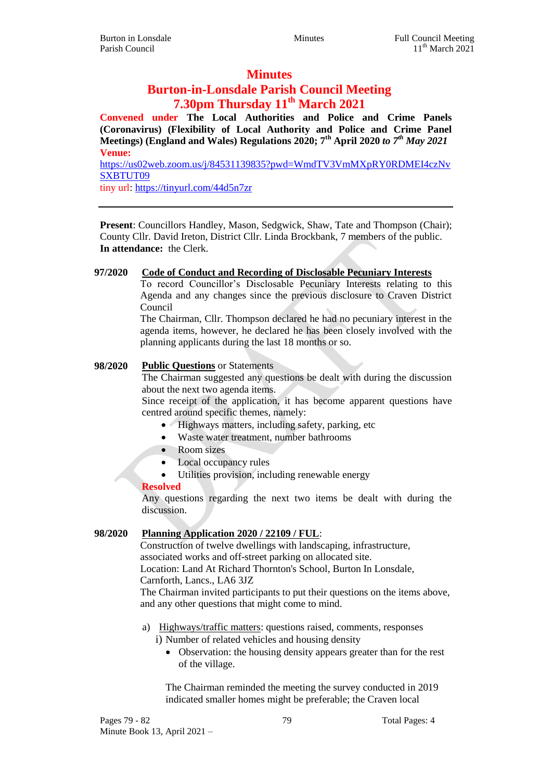# **Minutes**

# **Burton-in-Lonsdale Parish Council Meeting 7.30pm Thursday 11th March 2021**

**Convened under The Local Authorities and Police and Crime Panels (Coronavirus) (Flexibility of Local Authority and Police and Crime Panel Meetings) (England and Wales) Regulations 2020; 7th April 2020** *to 7th May 2021* **Venue:** [https://us02web.zoom.us/j/84531139835?pwd=WmdTV3VmMXpRY0RDMEI4czNv](https://us02web.zoom.us/j/84531139835?pwd=WmdTV3VmMXpRY0RDMEI4czNvSXBTUT09)

[SXBTUT09](https://us02web.zoom.us/j/84531139835?pwd=WmdTV3VmMXpRY0RDMEI4czNvSXBTUT09) tiny url[: https://tinyurl.com/44d5n7zr](https://tinyurl.com/44d5n7zr)

**Present**: Councillors Handley, Mason, Sedgwick, Shaw, Tate and Thompson (Chair); County Cllr. David Ireton, District Cllr. Linda Brockbank, 7 members of the public. **In attendance:** the Clerk.

### **97/2020 Code of Conduct and Recording of Disclosable Pecuniary Interests**

To record Councillor's Disclosable Pecuniary Interests relating to this Agenda and any changes since the previous disclosure to Craven District Council

The Chairman, Cllr. Thompson declared he had no pecuniary interest in the agenda items, however, he declared he has been closely involved with the planning applicants during the last 18 months or so.

### **98/2020 Public Questions** or Statements

The Chairman suggested any questions be dealt with during the discussion about the next two agenda items.

Since receipt of the application, it has become apparent questions have centred around specific themes, namely:

- Highways matters, including safety, parking, etc
- Waste water treatment, number bathrooms
- Room sizes
- Local occupancy rules
- Utilities provision, including renewable energy

# **Resolved**

Any questions regarding the next two items be dealt with during the discussion.

# **98/2020 Planning Application 2020 / 22109 / FUL**:

Construction of twelve dwellings with landscaping, infrastructure, associated works and off-street parking on allocated site. Location: Land At Richard Thornton's School, Burton In Lonsdale,

Carnforth, Lancs., LA6 3JZ

The Chairman invited participants to put their questions on the items above, and any other questions that might come to mind.

a) Highways/traffic matters: questions raised, comments, responses

i) Number of related vehicles and housing density

 Observation: the housing density appears greater than for the rest of the village.

The Chairman reminded the meeting the survey conducted in 2019 indicated smaller homes might be preferable; the Craven local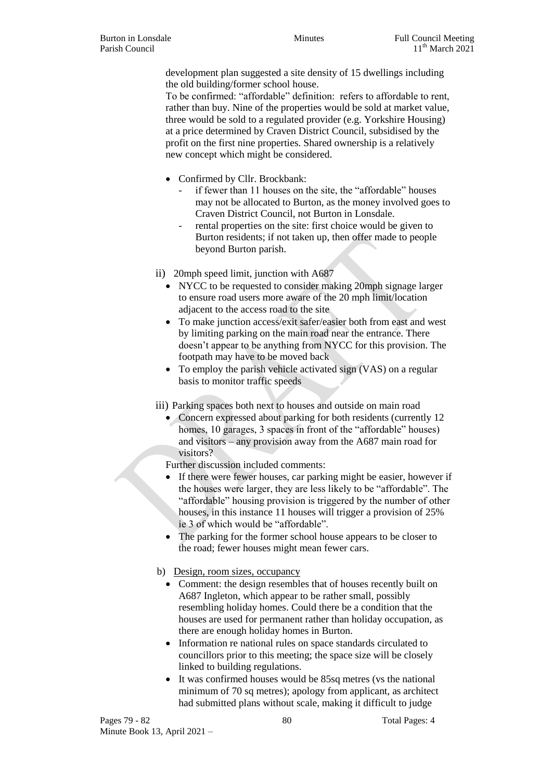development plan suggested a site density of 15 dwellings including the old building/former school house.

To be confirmed: "affordable" definition: refers to affordable to rent, rather than buy. Nine of the properties would be sold at market value, three would be sold to a regulated provider (e.g. Yorkshire Housing) at a price determined by Craven District Council, subsidised by the profit on the first nine properties. Shared ownership is a relatively new concept which might be considered.

- Confirmed by Cllr. Brockbank:
	- if fewer than 11 houses on the site, the "affordable" houses may not be allocated to Burton, as the money involved goes to Craven District Council, not Burton in Lonsdale.
	- rental properties on the site: first choice would be given to Burton residents; if not taken up, then offer made to people beyond Burton parish.
- ii) 20mph speed limit, junction with A687
	- NYCC to be requested to consider making 20mph signage larger to ensure road users more aware of the 20 mph limit/location adjacent to the access road to the site
	- To make junction access/exit safer/easier both from east and west by limiting parking on the main road near the entrance. There doesn't appear to be anything from NYCC for this provision. The footpath may have to be moved back
	- To employ the parish vehicle activated sign (VAS) on a regular basis to monitor traffic speeds
- iii) Parking spaces both next to houses and outside on main road
	- Concern expressed about parking for both residents (currently 12 homes, 10 garages, 3 spaces in front of the "affordable" houses) and visitors – any provision away from the A687 main road for visitors?

Further discussion included comments:

- If there were fewer houses, car parking might be easier, however if the houses were larger, they are less likely to be "affordable". The "affordable" housing provision is triggered by the number of other houses, in this instance 11 houses will trigger a provision of 25% ie 3 of which would be "affordable".
- The parking for the former school house appears to be closer to the road; fewer houses might mean fewer cars.
- b) Design, room sizes, occupancy
	- Comment: the design resembles that of houses recently built on A687 Ingleton, which appear to be rather small, possibly resembling holiday homes. Could there be a condition that the houses are used for permanent rather than holiday occupation, as there are enough holiday homes in Burton.
	- Information re national rules on space standards circulated to councillors prior to this meeting; the space size will be closely linked to building regulations.
	- It was confirmed houses would be 85sq metres (vs the national minimum of 70 sq metres); apology from applicant, as architect had submitted plans without scale, making it difficult to judge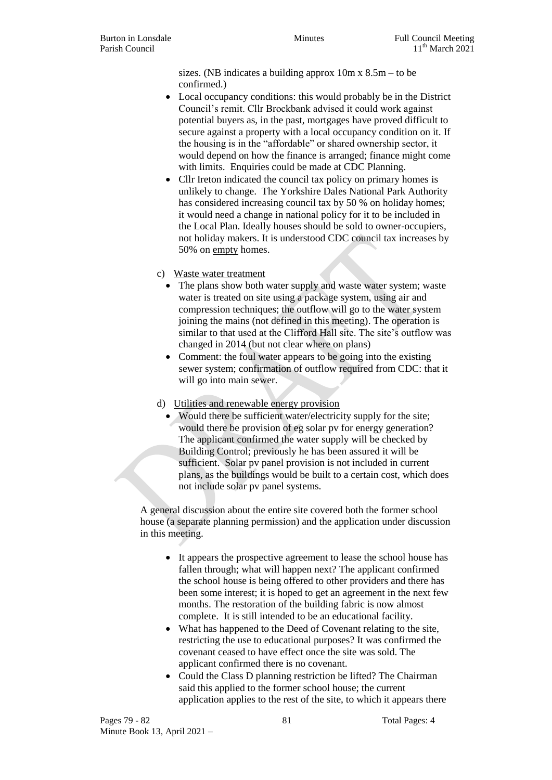sizes. (NB indicates a building approx  $10m \times 8.5m -$  to be confirmed.)

- Local occupancy conditions: this would probably be in the District Council's remit. Cllr Brockbank advised it could work against potential buyers as, in the past, mortgages have proved difficult to secure against a property with a local occupancy condition on it. If the housing is in the "affordable" or shared ownership sector, it would depend on how the finance is arranged; finance might come with limits. Enquiries could be made at CDC Planning.
- Cllr Ireton indicated the council tax policy on primary homes is unlikely to change. The Yorkshire Dales National Park Authority has considered increasing council tax by 50 % on holiday homes; it would need a change in national policy for it to be included in the Local Plan. Ideally houses should be sold to owner-occupiers, not holiday makers. It is understood CDC council tax increases by 50% on empty homes.
- c) Waste water treatment
	- The plans show both water supply and waste water system; waste water is treated on site using a package system, using air and compression techniques; the outflow will go to the water system joining the mains (not defined in this meeting). The operation is similar to that used at the Clifford Hall site. The site's outflow was changed in 2014 (but not clear where on plans)
	- Comment: the foul water appears to be going into the existing sewer system; confirmation of outflow required from CDC: that it will go into main sewer.
- d) Utilities and renewable energy provision
	- Would there be sufficient water/electricity supply for the site; would there be provision of eg solar pv for energy generation? The applicant confirmed the water supply will be checked by Building Control; previously he has been assured it will be sufficient. Solar pv panel provision is not included in current plans, as the buildings would be built to a certain cost, which does not include solar pv panel systems.

A general discussion about the entire site covered both the former school house (a separate planning permission) and the application under discussion in this meeting.

- It appears the prospective agreement to lease the school house has fallen through; what will happen next? The applicant confirmed the school house is being offered to other providers and there has been some interest; it is hoped to get an agreement in the next few months. The restoration of the building fabric is now almost complete. It is still intended to be an educational facility.
- What has happened to the Deed of Covenant relating to the site, restricting the use to educational purposes? It was confirmed the covenant ceased to have effect once the site was sold. The applicant confirmed there is no covenant.
- Could the Class D planning restriction be lifted? The Chairman said this applied to the former school house; the current application applies to the rest of the site, to which it appears there